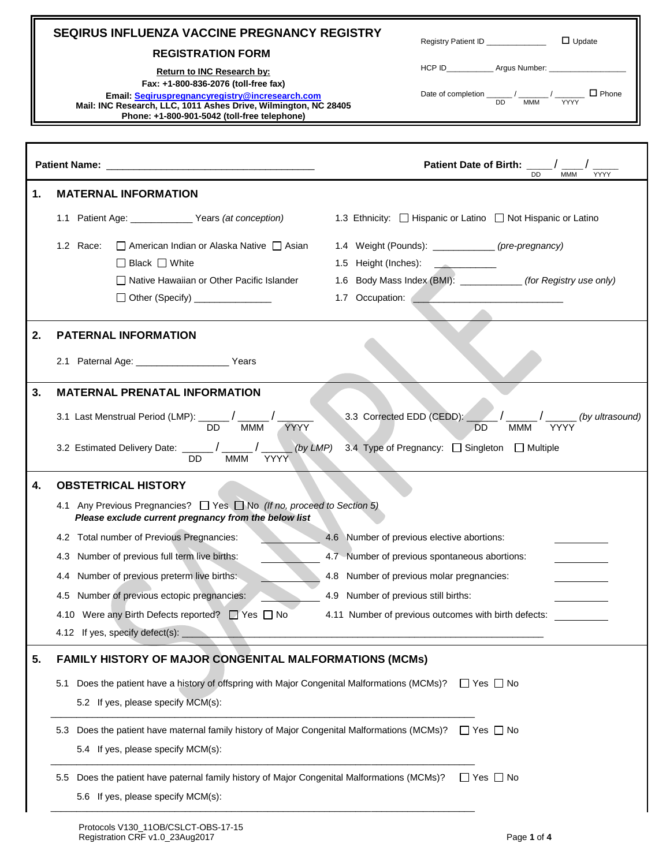|    | <b>SEQIRUS INFLUENZA VACCINE PREGNANCY REGISTRY</b>                                                                                                                                                                                                                                                                                      |
|----|------------------------------------------------------------------------------------------------------------------------------------------------------------------------------------------------------------------------------------------------------------------------------------------------------------------------------------------|
|    | Registry Patient ID ____________<br>$\Box$ Update<br><b>REGISTRATION FORM</b>                                                                                                                                                                                                                                                            |
|    | HCP ID______________ Argus Number: ________________                                                                                                                                                                                                                                                                                      |
|    | Return to INC Research by:<br>Fax: +1-800-836-2076 (toll-free fax)                                                                                                                                                                                                                                                                       |
|    | Date of completion $\underline{\hspace{1cm}}$ $\frac{\hspace{1cm}}{DD}$ / $\underline{\hspace{1cm}}$ $\frac{\hspace{1cm}}{MMM}$ / $\underline{\hspace{1cm}}$ $\frac{\hspace{1cm}}{YYYY}$ $\hspace{1cm} \Box$ Phone<br>Email: Segiruspregnancyregistry@incresearch.com<br>Mail: INC Research, LLC, 1011 Ashes Drive, Wilmington, NC 28405 |
|    | Phone: +1-800-901-5042 (toll-free telephone)                                                                                                                                                                                                                                                                                             |
|    |                                                                                                                                                                                                                                                                                                                                          |
|    | <b>Patient Date of Birth:</b><br><b>YYYY</b><br>DD<br><b>MMM</b>                                                                                                                                                                                                                                                                         |
| 1. | <b>MATERNAL INFORMATION</b>                                                                                                                                                                                                                                                                                                              |
|    | 1.1 Patient Age: _________________ Years (at conception)<br>1.3 Ethnicity: □ Hispanic or Latino □ Not Hispanic or Latino                                                                                                                                                                                                                 |
|    | 1.2 Race:<br>$\Box$ American Indian or Alaska Native $\Box$ Asian<br>1.4 Weight (Pounds): _____________ (pre-pregnancy)                                                                                                                                                                                                                  |
|    | $\Box$ Black $\Box$ White<br>1.5 Height (Inches): ____________                                                                                                                                                                                                                                                                           |
|    | 1.6 Body Mass Index (BMI): ____________ (for Registry use only)<br>□ Native Hawaiian or Other Pacific Islander                                                                                                                                                                                                                           |
|    | 1.7 Occupation: 2000 Contract 2000 Contract 2000 Contract 2000 Contract 2000 Contract 2000 Contract 2000 Contract 2000 Contract 2000 Contract 2000 Contract 2000 Contract 2000 Contract 2000 Contract 2000 Contract 2000 Contr<br>□ Other (Specify) ________________                                                                     |
|    |                                                                                                                                                                                                                                                                                                                                          |
| 2. | <b>PATERNAL INFORMATION</b>                                                                                                                                                                                                                                                                                                              |
|    |                                                                                                                                                                                                                                                                                                                                          |
| 3. | <b>MATERNAL PRENATAL INFORMATION</b>                                                                                                                                                                                                                                                                                                     |
|    | 3.1 Last Menstrual Period (LMP): ______/ _______<br>(by ultrasound)<br>DD.<br><b>MMM</b><br><b>DD</b><br><b>YYYY</b><br>YYYY<br>МММ                                                                                                                                                                                                      |
|    | 3.2 Estimated Delivery Date: $\frac{1}{DD}$ / $\frac{1}{MMM}$ / $\frac{1}{YYN}$<br>(by LMP)<br>3.4 Type of Pregnancy: □ Singleton □ Multiple<br><b>YYYY</b>                                                                                                                                                                              |
| 4. | <b>OBSTETRICAL HISTORY</b>                                                                                                                                                                                                                                                                                                               |
|    | Any Previous Pregnancies?<br>$\Box$ Yes $\Box$ No (If no, proceed to Section 5)<br>Please exclude current pregnancy from the below list                                                                                                                                                                                                  |
|    | 4.2 Total number of Previous Pregnancies:<br>4.6 Number of previous elective abortions:                                                                                                                                                                                                                                                  |
|    | Number of previous full term live births:<br>4.7 Number of previous spontaneous abortions:<br>4.3                                                                                                                                                                                                                                        |
|    | Number of previous preterm live births:<br>4.8 Number of previous molar pregnancies:<br>4.4                                                                                                                                                                                                                                              |
|    | Number of previous ectopic pregnancies:<br>4.9 Number of previous still births:<br>4.5                                                                                                                                                                                                                                                   |
|    | 4.10 Were any Birth Defects reported? 7 Yes T No<br>4.11 Number of previous outcomes with birth defects:                                                                                                                                                                                                                                 |
|    | 4.12 If yes, specify defect(s): _                                                                                                                                                                                                                                                                                                        |
| 5. | <b>FAMILY HISTORY OF MAJOR CONGENITAL MALFORMATIONS (MCMs)</b>                                                                                                                                                                                                                                                                           |
|    |                                                                                                                                                                                                                                                                                                                                          |
|    | 5.1 Does the patient have a history of offspring with Major Congenital Malformations (MCMs)? $\Box$ Yes $\Box$ No                                                                                                                                                                                                                        |
|    | 5.2 If yes, please specify MCM(s):                                                                                                                                                                                                                                                                                                       |
|    | 5.3 Does the patient have maternal family history of Major Congenital Malformations (MCMs)? $\Box$ Yes $\Box$ No                                                                                                                                                                                                                         |
|    | 5.4 If yes, please specify MCM(s):                                                                                                                                                                                                                                                                                                       |
|    |                                                                                                                                                                                                                                                                                                                                          |
|    | Does the patient have paternal family history of Major Congenital Malformations (MCMs)?<br>$\Box$ Yes $\Box$ No<br>5.5                                                                                                                                                                                                                   |
|    | 5.6 If yes, please specify MCM(s):                                                                                                                                                                                                                                                                                                       |
|    |                                                                                                                                                                                                                                                                                                                                          |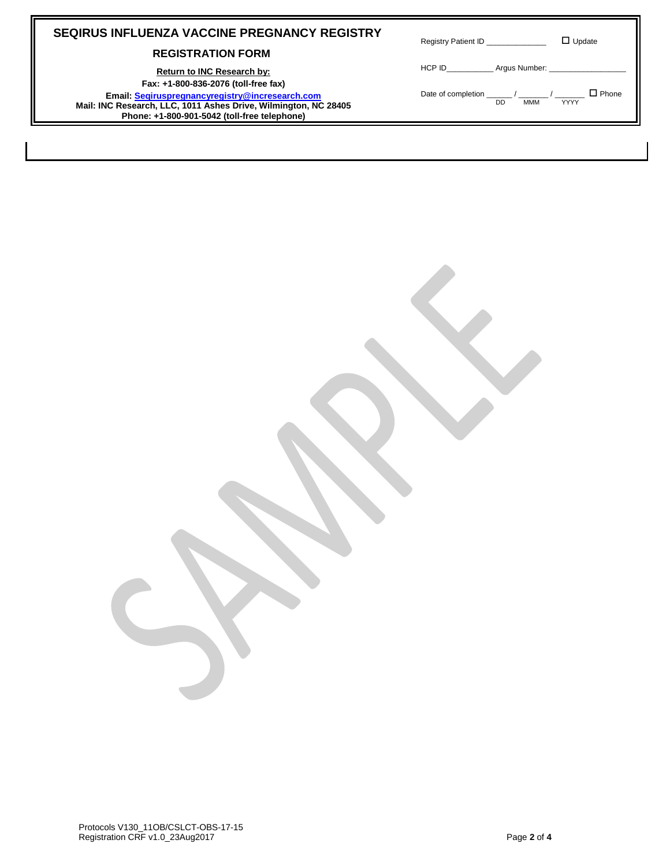# **SEQIRUS INFLUENZA VACCINE PREGNANCY REGISTRY**

### **REGISTRATION FORM**

#### **Return to INC Research by:**

Registry Patient ID \_\_\_\_\_\_\_\_\_\_\_\_\_\_\_\_ □ Update

HCP ID\_\_\_\_\_\_\_\_\_\_\_\_\_\_\_\_ Argus Number:

Date of completion  $\frac{1}{\sqrt{D}}$  /  $\frac{1}{\sqrt{M}}$  /  $\frac{1}{\sqrt{Y'Y'}}$   $\Box$  Phone

**Fax: +1-800-836-2076 (toll-free fax) Email: [Seqiruspregnancyregistry@incresearch.com](mailto:Seqiruspregnancyregistry@incresearch.com) Mail: INC Research, LLC, 1011 Ashes Drive, Wilmington, NC 28405 Phone: +1-800-901-5042 (toll-free telephone)**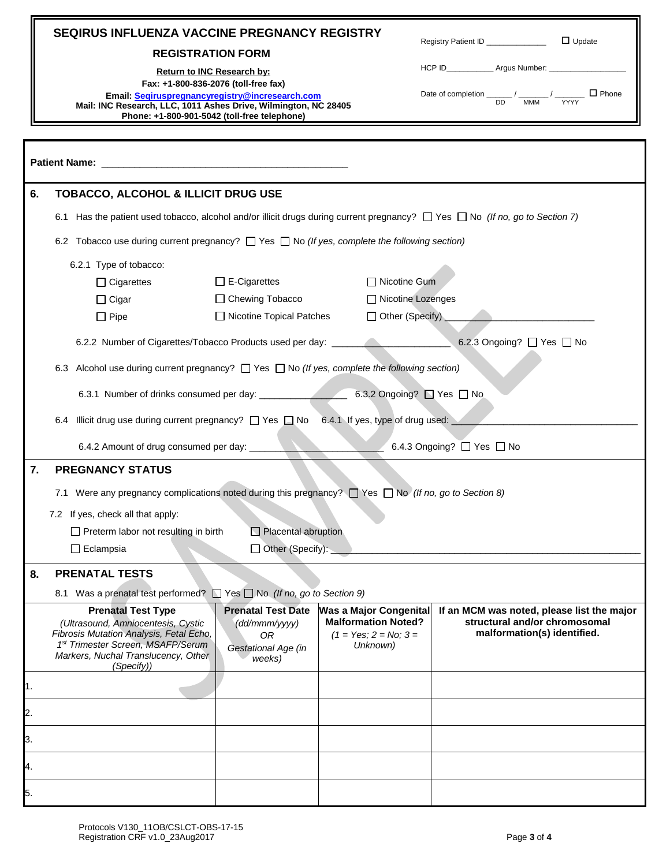|     | SEQIRUS INFLUENZA VACCINE PREGNANCY REGISTRY                                                                                 |                                              |                                                       | Registry Patient ID ____________ | $\Box$ Update                                                                                                                                                                                        |
|-----|------------------------------------------------------------------------------------------------------------------------------|----------------------------------------------|-------------------------------------------------------|----------------------------------|------------------------------------------------------------------------------------------------------------------------------------------------------------------------------------------------------|
|     | <b>REGISTRATION FORM</b>                                                                                                     |                                              |                                                       |                                  |                                                                                                                                                                                                      |
|     | <b>Return to INC Research by:</b>                                                                                            |                                              |                                                       |                                  | HCP ID_______________ Argus Number: ______________                                                                                                                                                   |
|     | Fax: +1-800-836-2076 (toll-free fax)<br>Email: Segiruspregnancyregistry@incresearch.com                                      |                                              |                                                       |                                  | Date of completion $\underline{\hspace{1cm}}$ / $\underline{\hspace{1cm}}$ / $\underline{\hspace{1cm}}$ / $\underline{\hspace{1cm}}$ / $\underline{\hspace{1cm}}$ / $\underline{\hspace{1cm}}$ Phone |
|     | Mail: INC Research, LLC, 1011 Ashes Drive, Wilmington, NC 28405                                                              |                                              |                                                       |                                  |                                                                                                                                                                                                      |
|     |                                                                                                                              | Phone: +1-800-901-5042 (toll-free telephone) |                                                       |                                  |                                                                                                                                                                                                      |
|     |                                                                                                                              |                                              |                                                       |                                  |                                                                                                                                                                                                      |
|     |                                                                                                                              |                                              |                                                       |                                  |                                                                                                                                                                                                      |
|     |                                                                                                                              |                                              |                                                       |                                  |                                                                                                                                                                                                      |
| 6.  | <b>TOBACCO, ALCOHOL &amp; ILLICIT DRUG USE</b>                                                                               |                                              |                                                       |                                  |                                                                                                                                                                                                      |
|     | 6.1 Has the patient used tobacco, alcohol and/or illicit drugs during current pregnancy? □ Yes □ No (If no, go to Section 7) |                                              |                                                       |                                  |                                                                                                                                                                                                      |
|     | 6.2 Tobacco use during current pregnancy? $\Box$ Yes $\Box$ No (If yes, complete the following section)                      |                                              |                                                       |                                  |                                                                                                                                                                                                      |
|     | 6.2.1 Type of tobacco:                                                                                                       |                                              |                                                       |                                  |                                                                                                                                                                                                      |
|     | $\Box$ Cigarettes                                                                                                            | $\Box$ E-Cigarettes                          | □ Nicotine Gum                                        |                                  |                                                                                                                                                                                                      |
|     | $\Box$ Cigar                                                                                                                 | □ Chewing Tobacco                            | □ Nicotine Lozenges                                   |                                  |                                                                                                                                                                                                      |
|     | $\Box$ Pipe                                                                                                                  | □ Nicotine Topical Patches                   | □ Other (Specify)                                     |                                  |                                                                                                                                                                                                      |
|     |                                                                                                                              |                                              |                                                       |                                  | 6.2.3 Ongoing? □ Yes □ No                                                                                                                                                                            |
|     | 6.2.2 Number of Cigarettes/Tobacco Products used per day: ______                                                             |                                              |                                                       |                                  |                                                                                                                                                                                                      |
|     | 6.3 Alcohol use during current pregnancy? $\Box$ Yes $\Box$ No (If yes, complete the following section)                      |                                              |                                                       |                                  |                                                                                                                                                                                                      |
|     | 6.3.1 Number of drinks consumed per day: 6.3.2 Ongoing? □ Yes □ No                                                           |                                              |                                                       |                                  |                                                                                                                                                                                                      |
|     |                                                                                                                              |                                              |                                                       |                                  |                                                                                                                                                                                                      |
|     | 6.4 Illicit drug use during current pregnancy? $\Box$ Yes $\Box$ No 6.4.1 If yes, type of drug used:                         |                                              |                                                       |                                  |                                                                                                                                                                                                      |
|     | 6.4.2 Amount of drug consumed per day:                                                                                       |                                              |                                                       | 6.4.3 Ongoing? ■ Yes ■ No        |                                                                                                                                                                                                      |
| 7.  | <b>PREGNANCY STATUS</b>                                                                                                      |                                              |                                                       |                                  |                                                                                                                                                                                                      |
|     |                                                                                                                              |                                              |                                                       |                                  |                                                                                                                                                                                                      |
|     | 7.1 Were any pregnancy complications noted during this pregnancy? $\Box$ Yes $\Box$ No (If no, go to Section 8)              |                                              |                                                       |                                  |                                                                                                                                                                                                      |
|     | 7.2 If yes, check all that apply:                                                                                            |                                              |                                                       |                                  |                                                                                                                                                                                                      |
|     | $\Box$ Preterm labor not resulting in birth                                                                                  | $\Box$ Placental abruption                   |                                                       |                                  |                                                                                                                                                                                                      |
|     | $\Box$ Eclampsia                                                                                                             | Other (Specify):                             |                                                       |                                  |                                                                                                                                                                                                      |
| 8.  | <b>PRENATAL TESTS</b>                                                                                                        |                                              |                                                       |                                  |                                                                                                                                                                                                      |
|     | 8.1 Was a prenatal test performed? ■ Yes ■ No (If no, go to Section 9)                                                       |                                              |                                                       |                                  |                                                                                                                                                                                                      |
|     | <b>Prenatal Test Type</b>                                                                                                    | <b>Prenatal Test Date</b>                    | <b>Was a Major Congenital</b>                         |                                  | If an MCM was noted, please list the major                                                                                                                                                           |
|     | (Ultrasound, Amniocentesis, Cystic<br>Fibrosis Mutation Analysis, Fetal Echo,                                                | (dd/mmm/yyyy)<br>0R                          | <b>Malformation Noted?</b><br>$(1 = Yes; 2 = No; 3 =$ |                                  | structural and/or chromosomal<br>malformation(s) identified.                                                                                                                                         |
|     | 1st Trimester Screen, MSAFP/Serum                                                                                            | Gestational Age (in                          | Unknown)                                              |                                  |                                                                                                                                                                                                      |
|     | Markers, Nuchal Translucency, Other<br>(Specify))                                                                            | weeks)                                       |                                                       |                                  |                                                                                                                                                                                                      |
| l1. |                                                                                                                              |                                              |                                                       |                                  |                                                                                                                                                                                                      |
|     |                                                                                                                              |                                              |                                                       |                                  |                                                                                                                                                                                                      |
| 12. |                                                                                                                              |                                              |                                                       |                                  |                                                                                                                                                                                                      |
| 3.  |                                                                                                                              |                                              |                                                       |                                  |                                                                                                                                                                                                      |
| Α.  |                                                                                                                              |                                              |                                                       |                                  |                                                                                                                                                                                                      |
| 15. |                                                                                                                              |                                              |                                                       |                                  |                                                                                                                                                                                                      |